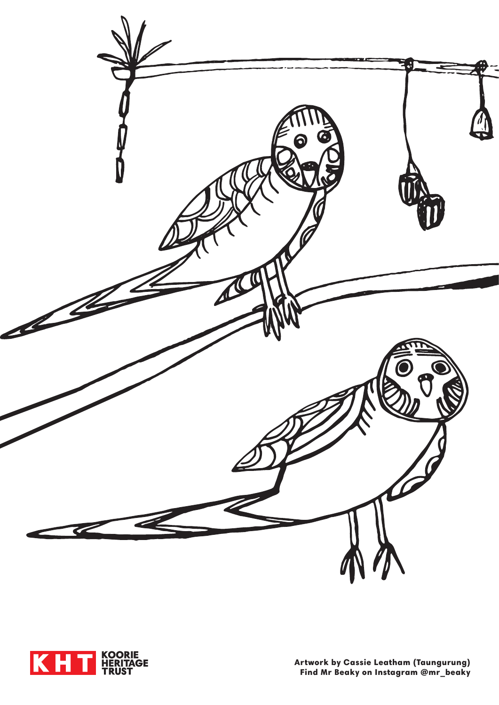